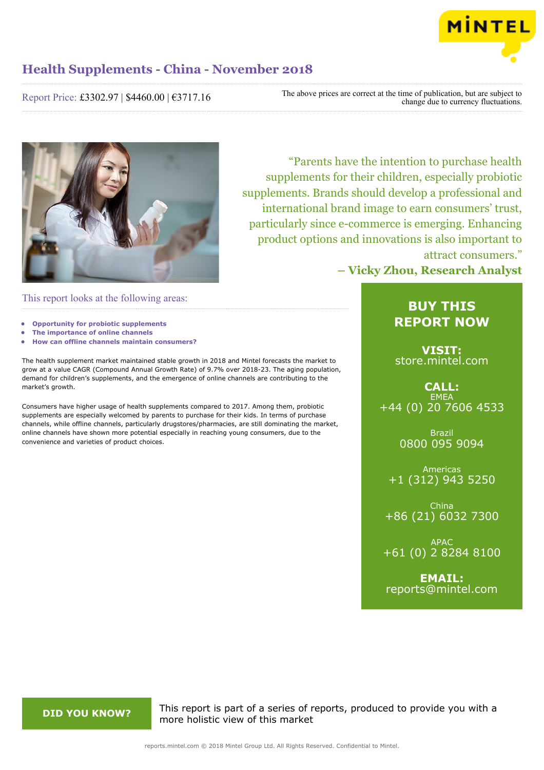

Report Price: £3302.97 | \$4460.00 | €3717.16

The above prices are correct at the time of publication, but are subject to change due to currency fluctuations.



This report looks at the following areas:

- **• Opportunity for probiotic supplements**
- **• The importance of online channels**
- **• How can offline channels maintain consumers?**

The health supplement market maintained stable growth in 2018 and Mintel forecasts the market to grow at a value CAGR (Compound Annual Growth Rate) of 9.7% over 2018-23. The aging population, demand for children's supplements, and the emergence of online channels are contributing to the market's growth.

Consumers have higher usage of health supplements compared to 2017. Among them, probiotic supplements are especially welcomed by parents to purchase for their kids. In terms of purchase channels, while offline channels, particularly drugstores/pharmacies, are still dominating the market, online channels have shown more potential especially in reaching young consumers, due to the convenience and varieties of product choices.

# "Parents have the intention to purchase health supplements for their children, especially probiotic supplements. Brands should develop a professional and international brand image to earn consumers' trust, particularly since e-commerce is emerging. Enhancing product options and innovations is also important to attract consumers."

**– Vicky Zhou, Research Analyst**

# **BUY THIS REPORT NOW**

**VISIT:** [store.mintel.com](http://reports.mintel.com//display/store/862323/)

**CALL: EMEA** +44 (0) 20 7606 4533

> Brazil 0800 095 9094

Americas +1 (312) 943 5250

China +86 (21) 6032 7300

APAC +61 (0) 2 8284 8100

**EMAIL:** [reports@mintel.com](mailto:reports@mintel.com)

**DID YOU KNOW?** This report is part of a series of reports, produced to provide you with a more holistic view of this market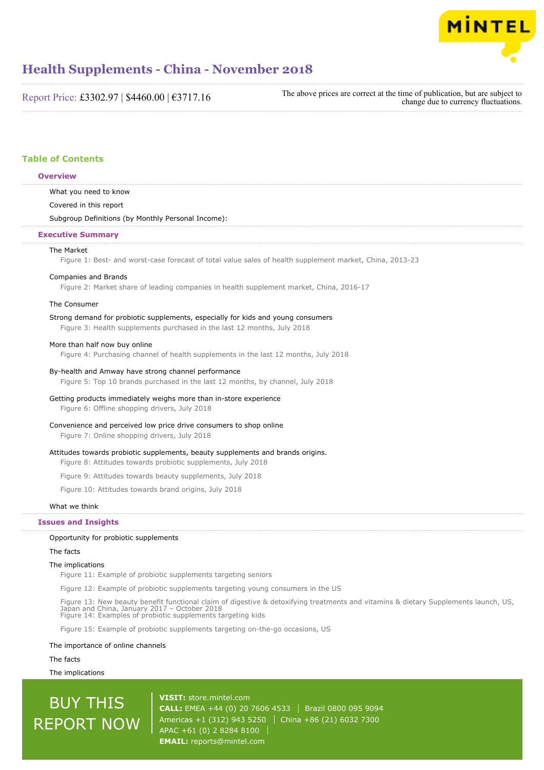

Report Price: £3302.97 | \$4460.00 | €3717.16

The above prices are correct at the time of publication, but are subject to change due to currency fluctuations.

# **Table of Contents**

# **Overview**

What you need to know

Covered in this report

#### Subgroup Definitions (by Monthly Personal Income):

### **Executive Summary**

#### The Market

Figure 1: Best- and worst-case forecast of total value sales of health supplement market, China, 2013-23

#### Companies and Brands

Figure 2: Market share of leading companies in health supplement market, China, 2016-17

# The Consumer

#### Strong demand for probiotic supplements, especially for kids and young consumers

Figure 3: Health supplements purchased in the last 12 months, July 2018

# More than half now buy online

Figure 4: Purchasing channel of health supplements in the last 12 months, July 2018

#### By-health and Amway have strong channel performance

Figure 5: Top 10 brands purchased in the last 12 months, by channel, July 2018

### Getting products immediately weighs more than in-store experience

Figure 6: Offline shopping drivers, July 2018

### Convenience and perceived low price drive consumers to shop online

Figure 7: Online shopping drivers, July 2018

### Attitudes towards probiotic supplements, beauty supplements and brands origins.

Figure 8: Attitudes towards probiotic supplements, July 2018

Figure 9: Attitudes towards beauty supplements, July 2018

Figure 10: Attitudes towards brand origins, July 2018

# What we think

#### **Issues and Insights**

#### Opportunity for probiotic supplements

The facts

# The implications

Figure 11: Example of probiotic supplements targeting seniors

Figure 12: Example of probiotic supplements targeting young consumers in the US

Figure 13: New beauty benefit functional claim of digestive & detoxifying treatments and vitamins & dietary Supplements launch, US,<br>Japan and China, January 2017 – October 2018<br>Figure 14: Examples of probiotic supplements

Figure 15: Example of probiotic supplements targeting on-the-go occasions, US

#### The importance of online channels

The facts

The implications

# BUY THIS REPORT NOW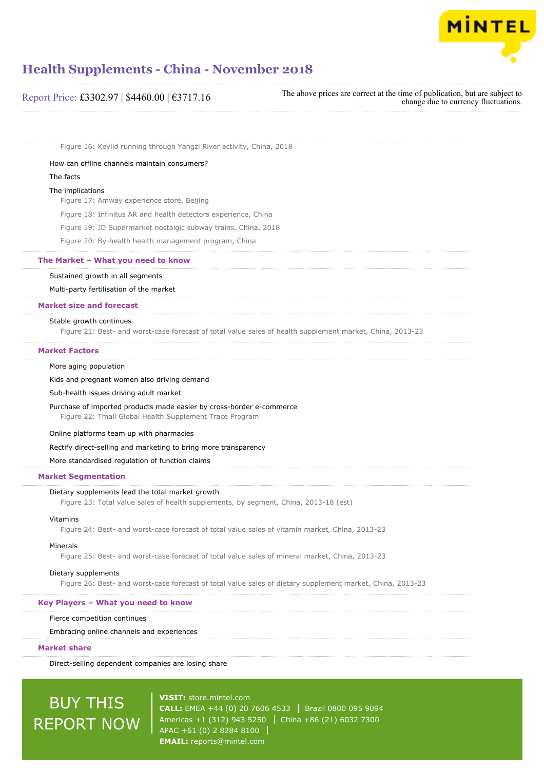

| Report Price: £3302.97   \$4460.00   $\epsilon$ 3717.16 | The above prices are correct at the time of publication, but are subject to<br>change due to currency fluctuations. |
|---------------------------------------------------------|---------------------------------------------------------------------------------------------------------------------|
|---------------------------------------------------------|---------------------------------------------------------------------------------------------------------------------|

Figure 16: Keylid running through Yangzi River activity, China, 2018

How can offline channels maintain consumers?

# The facts

#### The implications

Figure 17: Amway experience store, Beijing

Figure 18: Infinitus AR and health detectors experience, China

Figure 19: JD Supermarket nostalgic subway trains, China, 2018

Figure 20: By-health health management program, China

# **The Market – What you need to know**

#### Sustained growth in all segments

Multi-party fertilisation of the market

### **Market size and forecast**

#### Stable growth continues

Figure 21: Best- and worst-case forecast of total value sales of health supplement market, China, 2013-23

#### **Market Factors**

### More aging population

Kids and pregnant women also driving demand

Sub-health issues driving adult market

Purchase of imported products made easier by cross-border e-commerce Figure 22: Tmall Global Health Supplement Trace Program

### Online platforms team up with pharmacies

# Rectify direct-selling and marketing to bring more transparency

More standardised regulation of function claims

#### **Market Segmentation**

# Dietary supplements lead the total market growth

Figure 23: Total value sales of health supplements, by segment, China, 2013-18 (est)

#### Vitamins

Figure 24: Best- and worst-case forecast of total value sales of vitamin market, China, 2013-23

#### Minerals

Figure 25: Best- and worst-case forecast of total value sales of mineral market, China, 2013-23

#### Dietary supplements

Figure 26: Best- and worst-case forecast of total value sales of dietary supplement market, China, 2013-23

#### **Key Players – What you need to know**

## Fierce competition continues

Embracing online channels and experiences

#### **Market share**

Direct-selling dependent companies are losing share

# BUY THIS REPORT NOW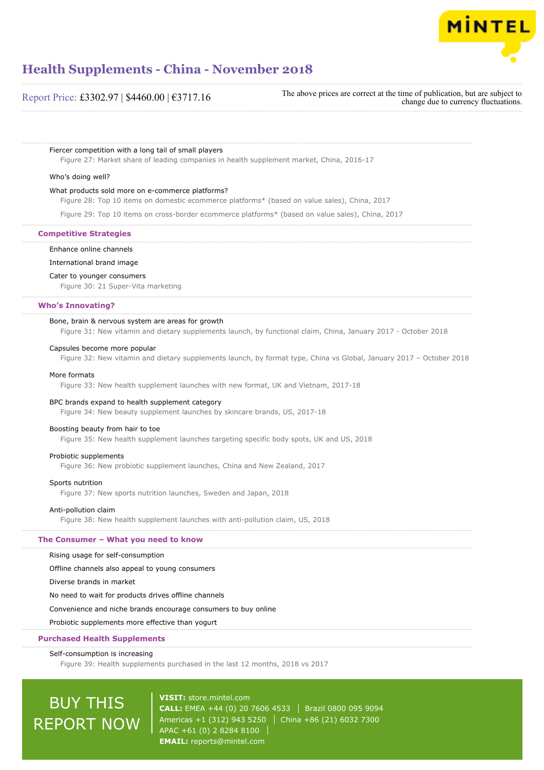

# Report Price: £3302.97 | \$4460.00 | €3717.16

The above prices are correct at the time of publication, but are subject to change due to currency fluctuations.

Fiercer competition with a long tail of small players

Figure 27: Market share of leading companies in health supplement market, China, 2016-17

#### Who's doing well?

#### What products sold more on e-commerce platforms?

Figure 28: Top 10 items on domestic ecommerce platforms\* (based on value sales), China, 2017

Figure 29: Top 10 items on cross-border ecommerce platforms\* (based on value sales), China, 2017

# **Competitive Strategies**

#### Enhance online channels

International brand image

#### Cater to younger consumers

Figure 30: 21 Super-Vita marketing

# **Who's Innovating?**

#### Bone, brain & nervous system are areas for growth

Figure 31: New vitamin and dietary supplements launch, by functional claim, China, January 2017 - October 2018

#### Capsules become more popular

Figure 32: New vitamin and dietary supplements launch, by format type, China vs Global, January 2017 – October 2018

#### More formats

Figure 33: New health supplement launches with new format, UK and Vietnam, 2017-18

#### BPC brands expand to health supplement category

Figure 34: New beauty supplement launches by skincare brands, US, 2017-18

# Boosting beauty from hair to toe

Figure 35: New health supplement launches targeting specific body spots, UK and US, 2018

#### Probiotic supplements

Figure 36: New probiotic supplement launches, China and New Zealand, 2017

#### Sports nutrition

Figure 37: New sports nutrition launches, Sweden and Japan, 2018

#### Anti-pollution claim

Figure 38: New health supplement launches with anti-pollution claim, US, 2018

#### **The Consumer – What you need to know**

Rising usage for self-consumption

Offline channels also appeal to young consumers

Diverse brands in market

No need to wait for products drives offline channels

#### Convenience and niche brands encourage consumers to buy online

Probiotic supplements more effective than yogurt

### **Purchased Health Supplements**

#### Self-consumption is increasing

Figure 39: Health supplements purchased in the last 12 months, 2018 vs 2017

# BUY THIS REPORT NOW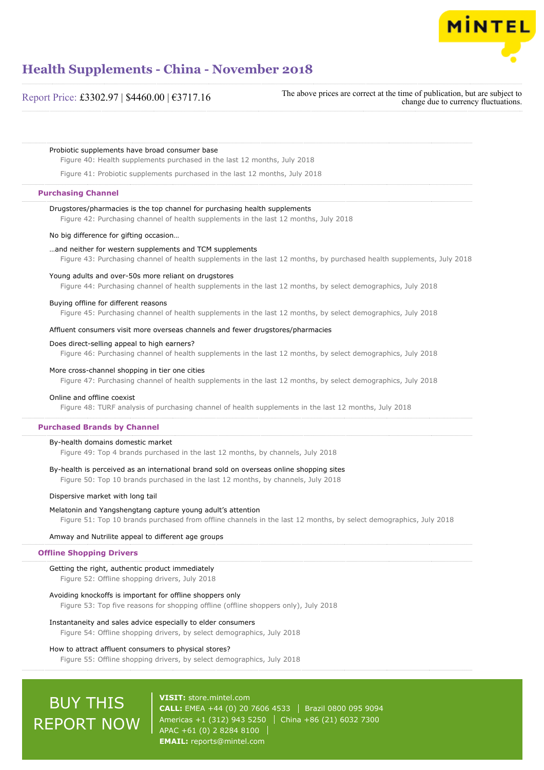

# Report Price: £3302.97 | \$4460.00 | €3717.16

The above prices are correct at the time of publication, but are subject to change due to currency fluctuations.

Probiotic supplements have broad consumer base

Figure 40: Health supplements purchased in the last 12 months, July 2018

Figure 41: Probiotic supplements purchased in the last 12 months, July 2018

### **Purchasing Channel**

# Drugstores/pharmacies is the top channel for purchasing health supplements

Figure 42: Purchasing channel of health supplements in the last 12 months, July 2018

#### No big difference for gifting occasion…

#### …and neither for western supplements and TCM supplements

Figure 43: Purchasing channel of health supplements in the last 12 months, by purchased health supplements, July 2018

#### Young adults and over-50s more reliant on drugstores

Figure 44: Purchasing channel of health supplements in the last 12 months, by select demographics, July 2018

#### Buying offline for different reasons

Figure 45: Purchasing channel of health supplements in the last 12 months, by select demographics, July 2018

#### Affluent consumers visit more overseas channels and fewer drugstores/pharmacies

#### Does direct-selling appeal to high earners?

Figure 46: Purchasing channel of health supplements in the last 12 months, by select demographics, July 2018

#### More cross-channel shopping in tier one cities

Figure 47: Purchasing channel of health supplements in the last 12 months, by select demographics, July 2018

### Online and offline coexist

Figure 48: TURF analysis of purchasing channel of health supplements in the last 12 months, July 2018

#### **Purchased Brands by Channel**

#### By-health domains domestic market

Figure 49: Top 4 brands purchased in the last 12 months, by channels, July 2018

#### By-health is perceived as an international brand sold on overseas online shopping sites

Figure 50: Top 10 brands purchased in the last 12 months, by channels, July 2018

#### Dispersive market with long tail

#### Melatonin and Yangshengtang capture young adult's attention

Figure 51: Top 10 brands purchased from offline channels in the last 12 months, by select demographics, July 2018

#### Amway and Nutrilite appeal to different age groups

### **Offline Shopping Drivers**

# Getting the right, authentic product immediately

Figure 52: Offline shopping drivers, July 2018

#### Avoiding knockoffs is important for offline shoppers only

Figure 53: Top five reasons for shopping offline (offline shoppers only), July 2018

#### Instantaneity and sales advice especially to elder consumers

Figure 54: Offline shopping drivers, by select demographics, July 2018

# How to attract affluent consumers to physical stores?

Figure 55: Offline shopping drivers, by select demographics, July 2018

# BUY THIS REPORT NOW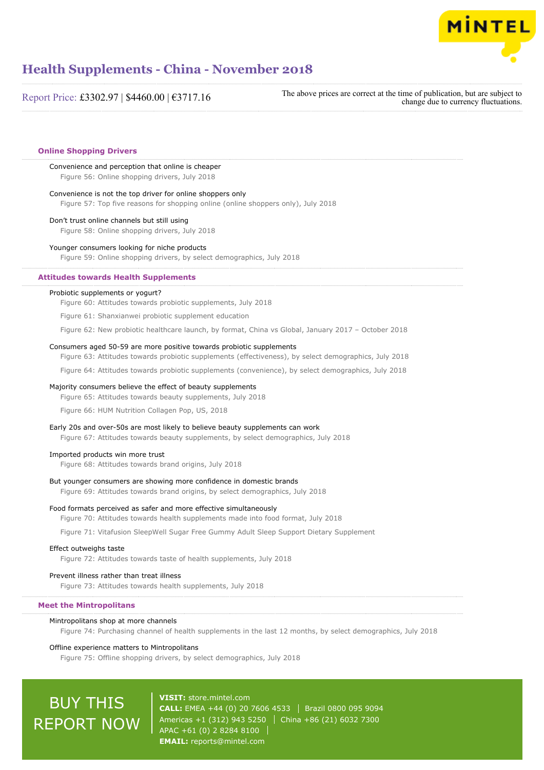

Report Price: £3302.97 | \$4460.00 | €3717.16

The above prices are correct at the time of publication, but are subject to change due to currency fluctuations.

# **Online Shopping Drivers**

Convenience and perception that online is cheaper Figure 56: Online shopping drivers, July 2018

Convenience is not the top driver for online shoppers only

Figure 57: Top five reasons for shopping online (online shoppers only), July 2018

#### Don't trust online channels but still using

Figure 58: Online shopping drivers, July 2018

#### Younger consumers looking for niche products

Figure 59: Online shopping drivers, by select demographics, July 2018

### **Attitudes towards Health Supplements**

### Probiotic supplements or yogurt?

Figure 60: Attitudes towards probiotic supplements, July 2018

Figure 61: Shanxianwei probiotic supplement education

Figure 62: New probiotic healthcare launch, by format, China vs Global, January 2017 – October 2018

#### Consumers aged 50-59 are more positive towards probiotic supplements

Figure 63: Attitudes towards probiotic supplements (effectiveness), by select demographics, July 2018

Figure 64: Attitudes towards probiotic supplements (convenience), by select demographics, July 2018

#### Majority consumers believe the effect of beauty supplements

Figure 65: Attitudes towards beauty supplements, July 2018

Figure 66: HUM Nutrition Collagen Pop, US, 2018

#### Early 20s and over-50s are most likely to believe beauty supplements can work

Figure 67: Attitudes towards beauty supplements, by select demographics, July 2018

#### Imported products win more trust

Figure 68: Attitudes towards brand origins, July 2018

#### But younger consumers are showing more confidence in domestic brands

Figure 69: Attitudes towards brand origins, by select demographics, July 2018

### Food formats perceived as safer and more effective simultaneously

Figure 70: Attitudes towards health supplements made into food format, July 2018

Figure 71: Vitafusion SleepWell Sugar Free Gummy Adult Sleep Support Dietary Supplement

#### Effect outweighs taste

Figure 72: Attitudes towards taste of health supplements, July 2018

# Prevent illness rather than treat illness

Figure 73: Attitudes towards health supplements, July 2018

# **Meet the Mintropolitans**

#### Mintropolitans shop at more channels

Figure 74: Purchasing channel of health supplements in the last 12 months, by select demographics, July 2018

# Offline experience matters to Mintropolitans

Figure 75: Offline shopping drivers, by select demographics, July 2018

# BUY THIS REPORT NOW